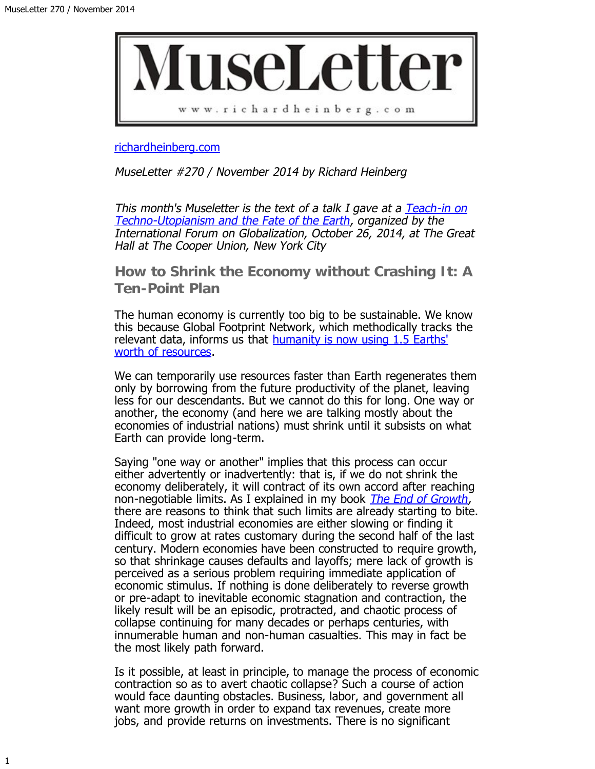

[richardheinberg.com](http://richardheinberg.com/)

MuseLetter #270 / November 2014 by Richard Heinberg

This month's Museletter is the text of a talk I gave at a [Teach-in on](http://www.brownpapertickets.com/event/821939) [Techno-Utopianism and the Fate of the Earth](http://www.brownpapertickets.com/event/821939), organized by the International Forum on Globalization, October 26, 2014, at The Great Hall at The Cooper Union, New York City

**How to Shrink the Economy without Crashing It: A Ten-Point Plan**

The human economy is currently too big to be sustainable. We know this because Global Footprint Network, which methodically tracks the relevant data, informs us that [humanity is now using 1.5 Earths'](http://www.footprintnetwork.org/pt/index.php/newsletter/v/living_planet_report_humanity_now_needs_1.5_earths) [worth of resources.](http://www.footprintnetwork.org/pt/index.php/newsletter/v/living_planet_report_humanity_now_needs_1.5_earths)

We can temporarily use resources faster than Earth regenerates them only by borrowing from the future productivity of the planet, leaving less for our descendants. But we cannot do this for long. One way or another, the economy (and here we are talking mostly about the economies of industrial nations) must shrink until it subsists on what Earth can provide long-term.

Saying "one way or another" implies that this process can occur either advertently or inadvertently: that is, if we do not shrink the economy deliberately, it will contract of its own accord after reaching non-negotiable limits. As I explained in my book *The End of Growth*, there are reasons to think that such limits are already starting to bite. Indeed, most industrial economies are either slowing or finding it difficult to grow at rates customary during the second half of the last century. Modern economies have been constructed to require growth, so that shrinkage causes defaults and layoffs; mere lack of growth is perceived as a serious problem requiring immediate application of economic stimulus. If nothing is done deliberately to reverse growth or pre-adapt to inevitable economic stagnation and contraction, the likely result will be an episodic, protracted, and chaotic process of collapse continuing for many decades or perhaps centuries, with innumerable human and non-human casualties. This may in fact be the most likely path forward.

Is it possible, at least in principle, to manage the process of economic contraction so as to avert chaotic collapse? Such a course of action would face daunting obstacles. Business, labor, and government all want more growth in order to expand tax revenues, create more jobs, and provide returns on investments. There is no significant

1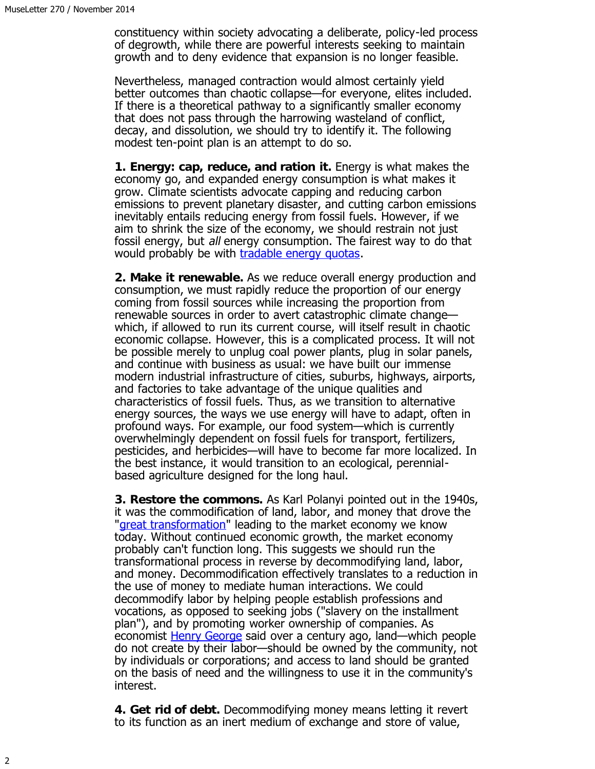constituency within society advocating a deliberate, policy-led process of degrowth, while there are powerful interests seeking to maintain growth and to deny evidence that expansion is no longer feasible.

Nevertheless, managed contraction would almost certainly yield better outcomes than chaotic collapse—for everyone, elites included. If there is a theoretical pathway to a significantly smaller economy that does not pass through the harrowing wasteland of conflict, decay, and dissolution, we should try to identify it. The following modest ten-point plan is an attempt to do so.

**1. Energy: cap, reduce, and ration it.** Energy is what makes the economy go, and expanded energy consumption is what makes it grow. Climate scientists advocate capping and reducing carbon emissions to prevent planetary disaster, and cutting carbon emissions inevitably entails reducing energy from fossil fuels. However, if we aim to shrink the size of the economy, we should restrain not just fossil energy, but all energy consumption. The fairest way to do that would probably be with [tradable energy quotas.](http://www.teqs.net/)

**2. Make it renewable.** As we reduce overall energy production and consumption, we must rapidly reduce the proportion of our energy coming from fossil sources while increasing the proportion from renewable sources in order to avert catastrophic climate change which, if allowed to run its current course, will itself result in chaotic economic collapse. However, this is a complicated process. It will not be possible merely to unplug coal power plants, plug in solar panels, and continue with business as usual: we have built our immense modern industrial infrastructure of cities, suburbs, highways, airports, and factories to take advantage of the unique qualities and characteristics of fossil fuels. Thus, as we transition to alternative energy sources, the ways we use energy will have to adapt, often in profound ways. For example, our food system—which is currently overwhelmingly dependent on fossil fuels for transport, fertilizers, pesticides, and herbicides—will have to become far more localized. In the best instance, it would transition to an ecological, perennialbased agriculture designed for the long haul.

**3. Restore the commons.** As Karl Polanyi pointed out in the 1940s, it was the commodification of land, labor, and money that drove the "[great transformation"](http://en.wikipedia.org/wiki/The_Great_Transformation_%28book%29) leading to the market economy we know today. Without continued economic growth, the market economy probably can't function long. This suggests we should run the transformational process in reverse by decommodifying land, labor, and money. Decommodification effectively translates to a reduction in the use of money to mediate human interactions. We could decommodify labor by helping people establish professions and vocations, as opposed to seeking jobs ("slavery on the installment plan"), and by promoting worker ownership of companies. As economist [Henry George](http://www.henrygeorge.org/) said over a century ago, land—which people do not create by their labor—should be owned by the community, not by individuals or corporations; and access to land should be granted on the basis of need and the willingness to use it in the community's interest.

**4. Get rid of debt.** Decommodifying money means letting it revert to its function as an inert medium of exchange and store of value,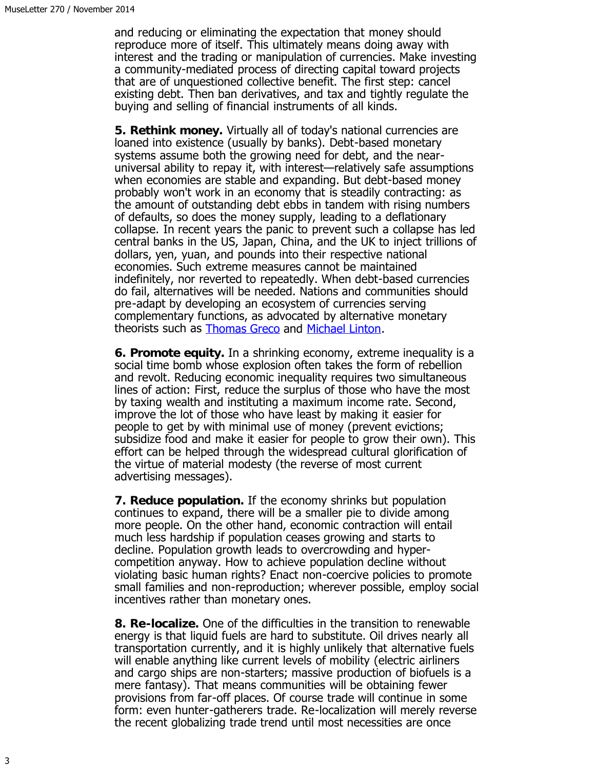and reducing or eliminating the expectation that money should reproduce more of itself. This ultimately means doing away with interest and the trading or manipulation of currencies. Make investing a community-mediated process of directing capital toward projects that are of unquestioned collective benefit. The first step: cancel existing debt. Then ban derivatives, and tax and tightly regulate the buying and selling of financial instruments of all kinds.

**5. Rethink money.** Virtually all of today's national currencies are loaned into existence (usually by banks). Debt-based monetary systems assume both the growing need for debt, and the nearuniversal ability to repay it, with interest—relatively safe assumptions when economies are stable and expanding. But debt-based money probably won't work in an economy that is steadily contracting: as the amount of outstanding debt ebbs in tandem with rising numbers of defaults, so does the money supply, leading to a deflationary collapse. In recent years the panic to prevent such a collapse has led central banks in the US, Japan, China, and the UK to inject trillions of dollars, yen, yuan, and pounds into their respective national economies. Such extreme measures cannot be maintained indefinitely, nor reverted to repeatedly. When debt-based currencies do fail, alternatives will be needed. Nations and communities should pre-adapt by developing an ecosystem of currencies serving complementary functions, as advocated by alternative monetary theorists such as **Thomas Greco** and **Michael Linton**.

**6. Promote equity.** In a shrinking economy, extreme inequality is a social time bomb whose explosion often takes the form of rebellion and revolt. Reducing economic inequality requires two simultaneous lines of action: First, reduce the surplus of those who have the most by taxing wealth and instituting a maximum income rate. Second, improve the lot of those who have least by making it easier for people to get by with minimal use of money (prevent evictions; subsidize food and make it easier for people to grow their own). This effort can be helped through the widespread cultural glorification of the virtue of material modesty (the reverse of most current advertising messages).

**7. Reduce population.** If the economy shrinks but population continues to expand, there will be a smaller pie to divide among more people. On the other hand, economic contraction will entail much less hardship if population ceases growing and starts to decline. Population growth leads to overcrowding and hypercompetition anyway. How to achieve population decline without violating basic human rights? Enact non-coercive policies to promote small families and non-reproduction; wherever possible, employ social incentives rather than monetary ones.

**8. Re-localize.** One of the difficulties in the transition to renewable energy is that liquid fuels are hard to substitute. Oil drives nearly all transportation currently, and it is highly unlikely that alternative fuels will enable anything like current levels of mobility (electric airliners and cargo ships are non-starters; massive production of biofuels is a mere fantasy). That means communities will be obtaining fewer provisions from far-off places. Of course trade will continue in some form: even hunter-gatherers trade. Re-localization will merely reverse the recent globalizing trade trend until most necessities are once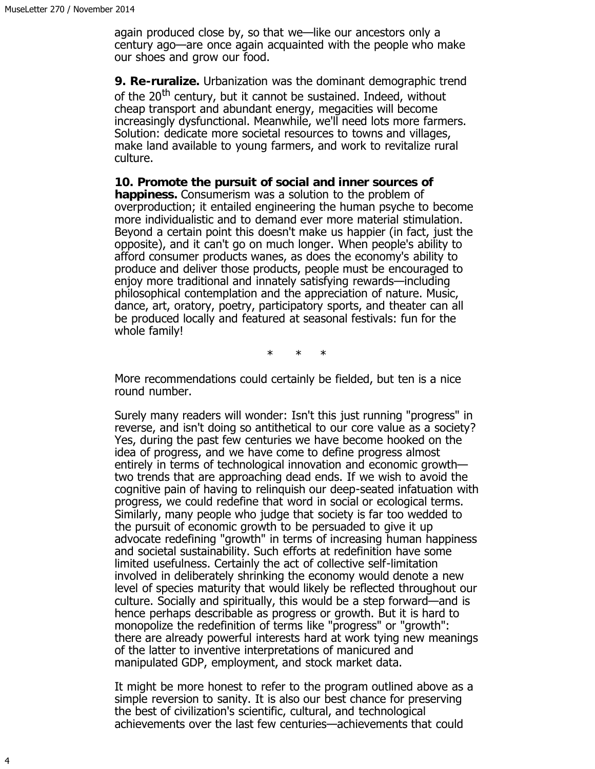again produced close by, so that we—like our ancestors only a century ago—are once again acquainted with the people who make our shoes and grow our food.

**9. Re-ruralize.** Urbanization was the dominant demographic trend of the 20<sup>th</sup> century, but it cannot be sustained. Indeed, without cheap transport and abundant energy, megacities will become increasingly dysfunctional. Meanwhile, we'll need lots more farmers. Solution: dedicate more societal resources to towns and villages, make land available to young farmers, and work to revitalize rural culture.

**10. Promote the pursuit of social and inner sources of happiness.** Consumerism was a solution to the problem of overproduction; it entailed engineering the human psyche to become more individualistic and to demand ever more material stimulation. Beyond a certain point this doesn't make us happier (in fact, just the opposite), and it can't go on much longer. When people's ability to afford consumer products wanes, as does the economy's ability to produce and deliver those products, people must be encouraged to enjoy more traditional and innately satisfying rewards—including philosophical contemplation and the appreciation of nature. Music, dance, art, oratory, poetry, participatory sports, and theater can all be produced locally and featured at seasonal festivals: fun for the whole family!

\* \* \*

More recommendations could certainly be fielded, but ten is a nice round number.

Surely many readers will wonder: Isn't this just running "progress" in reverse, and isn't doing so antithetical to our core value as a society? Yes, during the past few centuries we have become hooked on the idea of progress, and we have come to define progress almost entirely in terms of technological innovation and economic growth two trends that are approaching dead ends. If we wish to avoid the cognitive pain of having to relinquish our deep-seated infatuation with progress, we could redefine that word in social or ecological terms. Similarly, many people who judge that society is far too wedded to the pursuit of economic growth to be persuaded to give it up advocate redefining "growth" in terms of increasing human happiness and societal sustainability. Such efforts at redefinition have some limited usefulness. Certainly the act of collective self-limitation involved in deliberately shrinking the economy would denote a new level of species maturity that would likely be reflected throughout our culture. Socially and spiritually, this would be a step forward—and is hence perhaps describable as progress or growth. But it is hard to monopolize the redefinition of terms like "progress" or "growth": there are already powerful interests hard at work tying new meanings of the latter to inventive interpretations of manicured and manipulated GDP, employment, and stock market data.

It might be more honest to refer to the program outlined above as a simple reversion to sanity. It is also our best chance for preserving the best of civilization's scientific, cultural, and technological achievements over the last few centuries—achievements that could

4